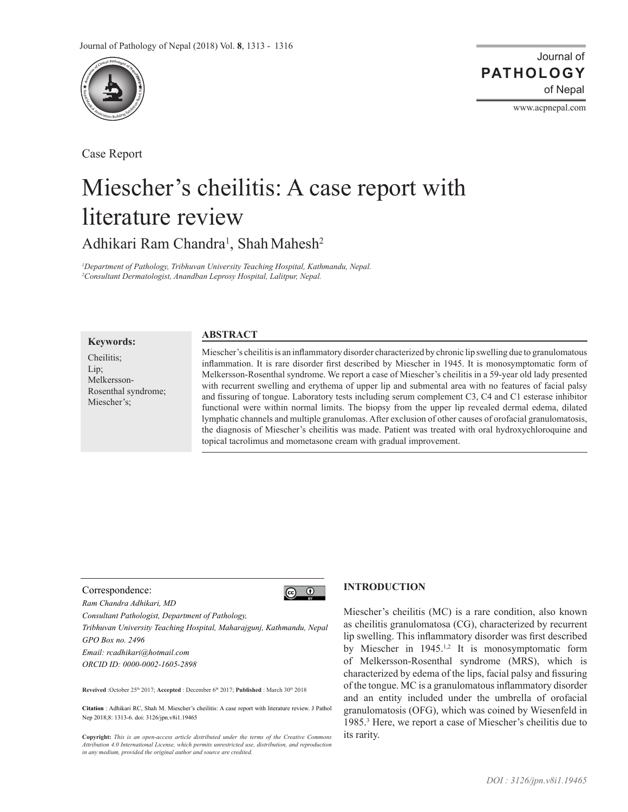

Case Report

# Miescher's cheilitis: A case report with literature review

Adhikari Ram Chandra<sup>1</sup>, Shah Mahesh<sup>2</sup>

*1 Department of Pathology, Tribhuvan University Teaching Hospital, Kathmandu, Nepal. 2 Consultant Dermatologist, Anandban Leprosy Hospital, Lalitpur, Nepal.* 

## **Keywords:**

Cheilitis; Lip; Melkersson-Rosenthal syndrome; Miescher's;

## **ABSTRACT**

Miescher's cheilitis is an inflammatory disorder characterized by chronic lip swelling due to granulomatous inflammation. It is rare disorder first described by Miescher in 1945. It is monosymptomatic form of Melkersson-Rosenthal syndrome. We report a case of Miescher's cheilitis in a 59-year old lady presented with recurrent swelling and erythema of upper lip and submental area with no features of facial palsy and fissuring of tongue. Laboratory tests including serum complement C3, C4 and C1 esterase inhibitor functional were within normal limits. The biopsy from the upper lip revealed dermal edema, dilated lymphatic channels and multiple granulomas. After exclusion of other causes of orofacial granulomatosis, the diagnosis of Miescher's cheilitis was made. Patient was treated with oral hydroxychloroquine and topical tacrolimus and mometasone cream with gradual improvement.

## Correspondence:

*Ram Chandra Adhikari, MD*

*Consultant Pathologist, Department of Pathology,*

*Tribhuvan University Teaching Hospital, Maharajgunj, Kathmandu, Nepal GPO Box no. 2496*

*Email: rcadhikari@hotmail.com ORCID ID: 0000-0002-1605-2898*

**Reveived** :October 25th 2017; **Accepted** : December 6th 2017; **Published** : March 30th 2018

**Citation** : Adhikari RC, Shah M. Miescher's cheilitis: A case report with literature review. J Pathol Nep 2018;8: 1313-6. doi: 3126/jpn.v8i1.19465

**Copyright:** *This is an open-access article distributed under the terms of the Creative Commons Attribution 4.0 International License, which permits unrestricted use, distribution, and reproduction in any medium, provided the original author and source are credited.*

## **INTRODUCTION**

 $\circledcirc$   $\circledcirc$ 

Miescher's cheilitis (MC) is a rare condition, also known as cheilitis granulomatosa (CG), characterized by recurrent lip swelling. This inflammatory disorder was first described by Miescher in 1945.<sup>1,2</sup> It is monosymptomatic form of Melkersson-Rosenthal syndrome (MRS), which is characterized by edema of the lips, facial palsy and fissuring of the tongue. MC is a granulomatous inflammatory disorder and an entity included under the umbrella of orofacial granulomatosis (OFG), which was coined by Wiesenfeld in 1985.<sup>3</sup> Here, we report a case of Miescher's cheilitis due to its rarity.

www.acpnepal.com

**PATHOLOGY**

Journal of

of Nepal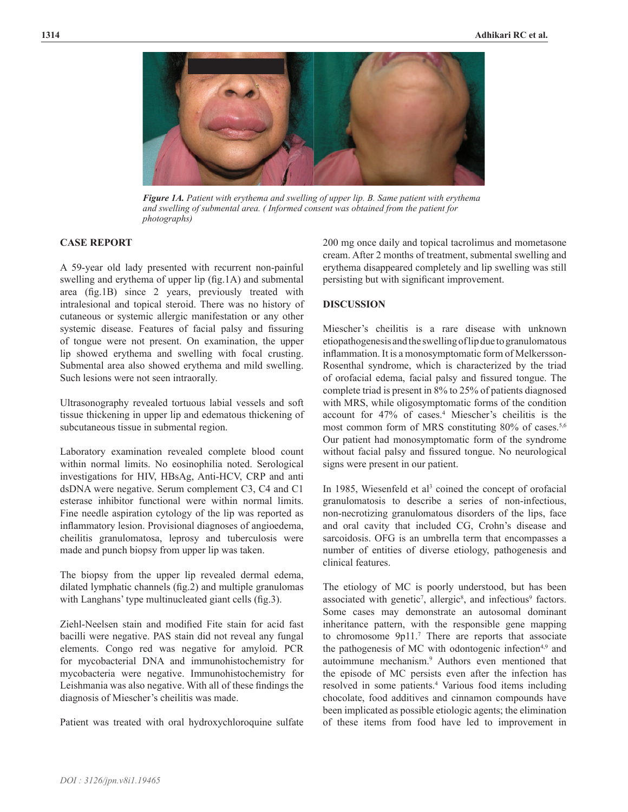

*Figure 1A. Patient with erythema and swelling of upper lip. B. Same patient with erythema and swelling of submental area. ( Informed consent was obtained from the patient for photographs)*

## **CASE REPORT**

A 59-year old lady presented with recurrent non-painful swelling and erythema of upper lip (fig.1A) and submental area (fig.1B) since 2 years, previously treated with intralesional and topical steroid. There was no history of cutaneous or systemic allergic manifestation or any other systemic disease. Features of facial palsy and fissuring of tongue were not present. On examination, the upper lip showed erythema and swelling with focal crusting. Submental area also showed erythema and mild swelling. Such lesions were not seen intraorally.

Ultrasonography revealed tortuous labial vessels and soft tissue thickening in upper lip and edematous thickening of subcutaneous tissue in submental region.

Laboratory examination revealed complete blood count within normal limits. No eosinophilia noted. Serological investigations for HIV, HBsAg, Anti-HCV, CRP and anti dsDNA were negative. Serum complement C3, C4 and C1 esterase inhibitor functional were within normal limits. Fine needle aspiration cytology of the lip was reported as inflammatory lesion. Provisional diagnoses of angioedema, cheilitis granulomatosa, leprosy and tuberculosis were made and punch biopsy from upper lip was taken.

The biopsy from the upper lip revealed dermal edema, dilated lymphatic channels (fig.2) and multiple granulomas with Langhans' type multinucleated giant cells (fig.3).

Ziehl-Neelsen stain and modified Fite stain for acid fast bacilli were negative. PAS stain did not reveal any fungal elements. Congo red was negative for amyloid. PCR for mycobacterial DNA and immunohistochemistry for mycobacteria were negative. Immunohistochemistry for Leishmania was also negative. With all of these findings the diagnosis of Miescher's cheilitis was made.

Patient was treated with oral hydroxychloroquine sulfate

200 mg once daily and topical tacrolimus and mometasone cream. After 2 months of treatment, submental swelling and erythema disappeared completely and lip swelling was still persisting but with significant improvement.

## **DISCUSSION**

Miescher's cheilitis is a rare disease with unknown etiopathogenesis and the swelling of lip due to granulomatous inflammation. It is a monosymptomatic form of Melkersson-Rosenthal syndrome, which is characterized by the triad of orofacial edema, facial palsy and fissured tongue. The complete triad is present in 8% to 25% of patients diagnosed with MRS, while oligosymptomatic forms of the condition account for 47% of cases.4 Miescher's cheilitis is the most common form of MRS constituting 80% of cases.<sup>5,6</sup> Our patient had monosymptomatic form of the syndrome without facial palsy and fissured tongue. No neurological signs were present in our patient.

In 1985, Wiesenfeld et al<sup>3</sup> coined the concept of orofacial granulomatosis to describe a series of non-infectious, non-necrotizing granulomatous disorders of the lips, face and oral cavity that included CG, Crohn's disease and sarcoidosis. OFG is an umbrella term that encompasses a number of entities of diverse etiology, pathogenesis and clinical features.

The etiology of MC is poorly understood, but has been associated with genetic<sup>7</sup>, allergic<sup>8</sup>, and infectious<sup>9</sup> factors. Some cases may demonstrate an autosomal dominant inheritance pattern, with the responsible gene mapping to chromosome 9p11.<sup>7</sup> There are reports that associate the pathogenesis of MC with odontogenic infection<sup>4,9</sup> and autoimmune mechanism.<sup>9</sup> Authors even mentioned that the episode of MC persists even after the infection has resolved in some patients.<sup>4</sup> Various food items including chocolate, food additives and cinnamon compounds have been implicated as possible etiologic agents; the elimination of these items from food have led to improvement in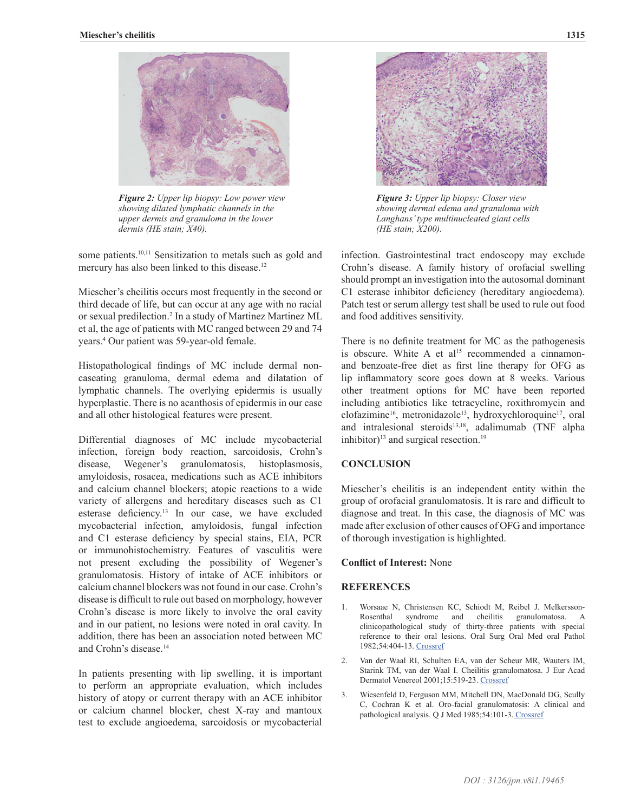

*Figure 2: Upper lip biopsy: Low power view showing dilated lymphatic channels in the upper dermis and granuloma in the lower dermis (HE stain; X40).* 

some patients.<sup>10,11</sup> Sensitization to metals such as gold and mercury has also been linked to this disease.<sup>12</sup>

Miescher's cheilitis occurs most frequently in the second or third decade of life, but can occur at any age with no racial or sexual predilection.2 In a study of Martinez Martinez ML et al, the age of patients with MC ranged between 29 and 74 years.<sup>4</sup> Our patient was 59-year-old female.

Histopathological findings of MC include dermal noncaseating granuloma, dermal edema and dilatation of lymphatic channels. The overlying epidermis is usually hyperplastic. There is no acanthosis of epidermis in our case and all other histological features were present.

Differential diagnoses of MC include mycobacterial infection, foreign body reaction, sarcoidosis, Crohn's disease, Wegener's granulomatosis, histoplasmosis, amyloidosis, rosacea, medications such as ACE inhibitors and calcium channel blockers; atopic reactions to a wide variety of allergens and hereditary diseases such as C1 esterase deficiency.<sup>13</sup> In our case, we have excluded mycobacterial infection, amyloidosis, fungal infection and C1 esterase deficiency by special stains, EIA, PCR or immunohistochemistry. Features of vasculitis were not present excluding the possibility of Wegener's granulomatosis. History of intake of ACE inhibitors or calcium channel blockers was not found in our case. Crohn's disease is difficult to rule out based on morphology, however Crohn's disease is more likely to involve the oral cavity and in our patient, no lesions were noted in oral cavity. In addition, there has been an association noted between MC and Crohn's disease.<sup>14</sup>

In patients presenting with lip swelling, it is important to perform an appropriate evaluation, which includes history of atopy or current therapy with an ACE inhibitor or calcium channel blocker, chest X-ray and mantoux test to exclude angioedema, sarcoidosis or mycobacterial



*Figure 3: Upper lip biopsy: Closer view showing dermal edema and granuloma with Langhans' type multinucleated giant cells (HE stain; X200).*

infection. Gastrointestinal tract endoscopy may exclude Crohn's disease. A family history of orofacial swelling should prompt an investigation into the autosomal dominant C1 esterase inhibitor deficiency (hereditary angioedema). Patch test or serum allergy test shall be used to rule out food and food additives sensitivity.

There is no definite treatment for MC as the pathogenesis is obscure. White A et al<sup>15</sup> recommended a cinnamonand benzoate-free diet as first line therapy for OFG as lip inflammatory score goes down at 8 weeks. Various other treatment options for MC have been reported including antibiotics like tetracycline, roxithromycin and clofazimine<sup>16</sup>, metronidazole<sup>13</sup>, hydroxychloroquine<sup>17</sup>, oral and intralesional steroids<sup>13,18</sup>, adalimumab (TNF alpha inhibitor) $13$  and surgical resection. $19$ 

## **CONCLUSION**

Miescher's cheilitis is an independent entity within the group of orofacial granulomatosis. It is rare and difficult to diagnose and treat. In this case, the diagnosis of MC was made after exclusion of other causes of OFG and importance of thorough investigation is highlighted.

## **Conflict of Interest:** None

#### **REFERENCES**

- 1. Worsaae N, Christensen KC, Schiodt M, Reibel J. Melkersson-Rosenthal syndrome and cheilitis granulomatosa. clinicopathological study of thirty-three patients with special reference to their oral lesions. Oral Surg Oral Med oral Pathol 1982;54:404-13. [Crossref](https://doi.org/10.1016/0030-4220(82)90387-5)
- 2. Van der Waal RI, Schulten EA, van der Scheur MR, Wauters IM, Starink TM, van der Waal I. Cheilitis granulomatosa. J Eur Acad Dermatol Venereol 2001;15:519-23. [Crossref](https://doi.org/10.1046/j.1468-3083.2001.00353.x)
- 3. Wiesenfeld D, Ferguson MM, Mitchell DN, MacDonald DG, Scully C, Cochran K et al. Oro-facial granulomatosis: A clinical and pathological analysis. Q J Med 1985;54:101-3. [Crossref](PMid:3975343)